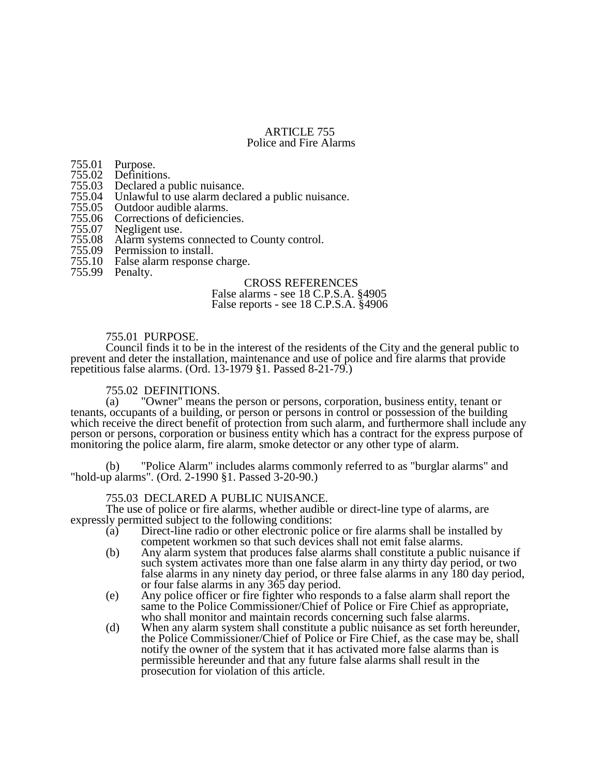# ARTICLE 755 Police and Fire Alarms

755.01 Purpose.

- 755.02 Definitions.<br>755.03 Declared a p
- 755.03 Declared a public nuisance.
- 755.04 Unlawful to use alarm declared a public nuisance.<br>755.05 Outdoor audible alarms.
- 755.05 Outdoor audible alarms.<br>755.06 Corrections of deficienci
- 755.06 Corrections of deficiencies.<br>755.07 Negligent use.
- 755.07 Negligent use.
- 755.08 Alarm systems connected to County control.
- 755.09 Permission to install.<br>755.10 False alarm response
- False alarm response charge.
- 755.99 Penalty.

## CROSS REFERENCES

## False alarms - see 18 C.P.S.A. §4905 False reports - see 18 C.P.S.A. §4906

## 755.01 PURPOSE.

Council finds it to be in the interest of the residents of the City and the general public to prevent and deter the installation, maintenance and use of police and fire alarms that provide repetitious false alarms. (Ord. 13-1979 §1. Passed 8-21-79.)

# 755.02 DEFINITIONS.<br>(a) "Owner" means t

"Owner" means the person or persons, corporation, business entity, tenant or tenants, occupants of a building, or person or persons in control or possession of the building which receive the direct benefit of protection from such alarm, and furthermore shall include any person or persons, corporation or business entity which has a contract for the express purpose of monitoring the police alarm, fire alarm, smoke detector or any other type of alarm.

(b) "Police Alarm" includes alarms commonly referred to as "burglar alarms" and "hold-up alarms". (Ord. 2-1990 §1. Passed 3-20-90.)

## 755.03 DECLARED A PUBLIC NUISANCE.

The use of police or fire alarms, whether audible or direct-line type of alarms, are expressly permitted subject to the following conditions:<br>(a) Direct-line radio or other electronic polic

- Direct-line radio or other electronic police or fire alarms shall be installed by competent workmen so that such devices shall not emit false alarms.
- (b) Any alarm system that produces false alarms shall constitute a public nuisance if such system activates more than one false alarm in any thirty day period, or two false alarms in any ninety day period, or three false alarms in any 180 day period, or four false alarms in any 365 day period.
- (e) Any police officer or fire fighter who responds to a false alarm shall report the same to the Police Commissioner/Chief of Police or Fire Chief as appropriate, who shall monitor and maintain records concerning such false alarms.
- (d) When any alarm system shall constitute a public nuisance as set forth hereunder, the Police Commissioner/Chief of Police or Fire Chief, as the case may be, shall notify the owner of the system that it has activated more false alarms than is permissible hereunder and that any future false alarms shall result in the prosecution for violation of this article.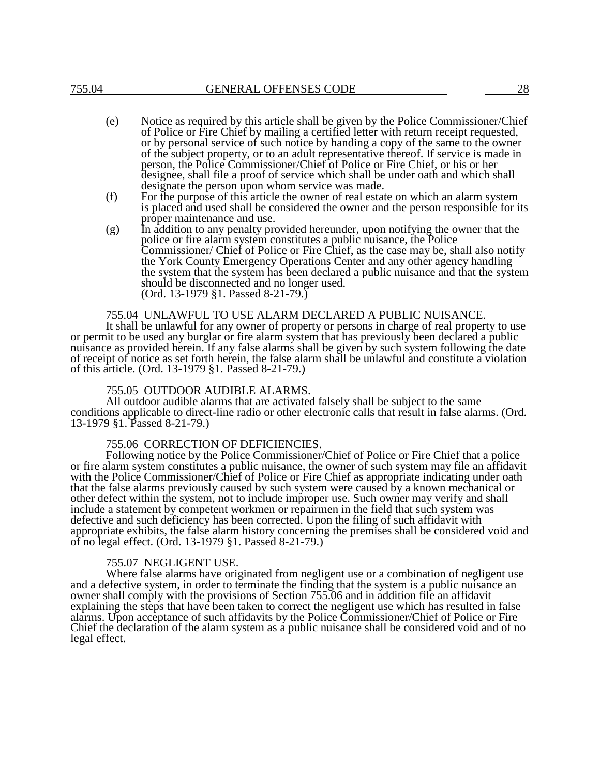- (e) Notice as required by this article shall be given by the Police Commissioner/Chief of Police or Fire Chief by mailing a certified letter with return receipt requested, or by personal service of such notice by handing a copy of the same to the owner of the subject property, or to an adult representative thereof. If service is made in person, the Police Commissioner/Chief of Police or Fire Chief, or his or her designee, shall file a proof of service which shall be under oath and which shall designate the person upon whom service was made.
- (f) For the purpose of this article the owner of real estate on which an alarm system is placed and used shall be considered the owner and the person responsible for its proper maintenance and use.
- $(g)$  In addition to any penalty provided hereunder, upon notifying the owner that the police or fire alarm system constitutes a public nuisance, the Police Commissioner/ Chief of Police or Fire Chief, as the case may be, shall also notify the York County Emergency Operations Center and any other agency handling the system that the system has been declared a public nuisance and that the system should be disconnected and no longer used. (Ord. 13-1979 §1. Passed 8-21-79.)

## 755.04 UNLAWFUL TO USE ALARM DECLARED A PUBLIC NUISANCE.

It shall be unlawful for any owner of property or persons in charge of real property to use or permit to be used any burglar or fire alarm system that has previously been declared a public nuisance as provided herein. If any false alarms shall be given by such system following the date of receipt of notice as set forth herein, the false alarm shall be unlawful and constitute a violation of this article. (Ord. 13-1979 §1. Passed 8-21-79.)

#### 755.05 OUTDOOR AUDIBLE ALARMS.

All outdoor audible alarms that are activated falsely shall be subject to the same conditions applicable to direct-line radio or other electronic calls that result in false alarms. (Ord. 13-1979 §1. Passed 8-21-79.)

#### 755.06 CORRECTION OF DEFICIENCIES.

Following notice by the Police Commissioner/Chief of Police or Fire Chief that a police or fire alarm system constitutes a public nuisance, the owner of such system may file an affidavit with the Police Commissioner/Chief of Police or Fire Chief as appropriate indicating under oath that the false alarms previously caused by such system were caused by a known mechanical or other defect within the system, not to include improper use. Such owner may verify and shall include a statement by competent workmen or repairmen in the field that such system was defective and such deficiency has been corrected. Upon the filing of such affidavit with appropriate exhibits, the false alarm history concerning the premises shall be considered void and of no legal effect. (Ord. 13-1979 §1. Passed 8-21-79.)

## 755.07 NEGLIGENT USE.

Where false alarms have originated from negligent use or a combination of negligent use and a defective system, in order to terminate the finding that the system is a public nuisance an owner shall comply with the provisions of Section 755.06 and in addition file an affidavit explaining the steps that have been taken to correct the negligent use which has resulted in false alarms. Upon acceptance of such affidavits by the Police Commissioner/Chief of Police or Fire Chief the declaration of the alarm system as a public nuisance shall be considered void and of no legal effect.